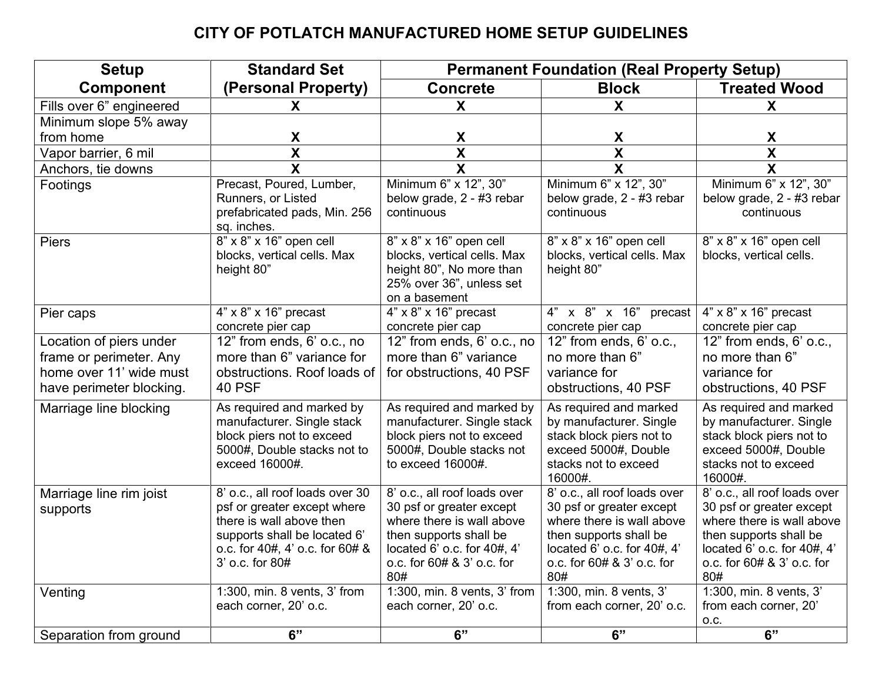## **CITY OF POTLATCH MANUFACTURED HOME SETUP GUIDELINES**

| <b>Setup</b>             | <b>Standard Set</b>                                                                                                                                  | <b>Permanent Foundation (Real Property Setup)</b>                                                                                                           |                                                                                                                                                     |                                                                                                                                                     |  |
|--------------------------|------------------------------------------------------------------------------------------------------------------------------------------------------|-------------------------------------------------------------------------------------------------------------------------------------------------------------|-----------------------------------------------------------------------------------------------------------------------------------------------------|-----------------------------------------------------------------------------------------------------------------------------------------------------|--|
| <b>Component</b>         | (Personal Property)                                                                                                                                  | <b>Concrete</b>                                                                                                                                             | <b>Block</b>                                                                                                                                        | <b>Treated Wood</b>                                                                                                                                 |  |
| Fills over 6" engineered | X.                                                                                                                                                   | X                                                                                                                                                           | X                                                                                                                                                   | X                                                                                                                                                   |  |
| Minimum slope 5% away    |                                                                                                                                                      |                                                                                                                                                             |                                                                                                                                                     |                                                                                                                                                     |  |
| from home                | X                                                                                                                                                    | X.                                                                                                                                                          | X                                                                                                                                                   | X                                                                                                                                                   |  |
| Vapor barrier, 6 mil     | $\overline{\mathbf{X}}$                                                                                                                              | X                                                                                                                                                           | $\overline{\mathbf{X}}$                                                                                                                             | $\overline{\mathbf{X}}$                                                                                                                             |  |
| Anchors, tie downs       | $\overline{\mathbf{x}}$                                                                                                                              | $\overline{\mathsf{x}}$                                                                                                                                     | $\overline{\mathbf{X}}$                                                                                                                             | $\overline{\mathbf{x}}$                                                                                                                             |  |
| Footings                 | Precast, Poured, Lumber,<br>Runners, or Listed<br>prefabricated pads, Min. 256<br>sq. inches.                                                        | Minimum 6" x 12", 30"<br>below grade, 2 - #3 rebar<br>continuous                                                                                            | Minimum 6" x 12", 30"<br>below grade, 2 - #3 rebar<br>continuous                                                                                    | Minimum 6" x 12", 30"<br>below grade, 2 - #3 rebar<br>continuous                                                                                    |  |
| <b>Piers</b>             | 8" x 8" x 16" open cell<br>blocks, vertical cells. Max<br>height 80"                                                                                 | 8" x 8" x 16" open cell<br>blocks, vertical cells. Max<br>height 80", No more than<br>25% over 36", unless set<br>on a basement                             | 8" x 8" x 16" open cell<br>blocks, vertical cells. Max<br>height 80"                                                                                | $8" \times 8" \times 16"$ open cell<br>blocks, vertical cells.                                                                                      |  |
| Pier caps                | $4" \times 8" \times 16"$ precast                                                                                                                    | $4" \times 8" \times 16"$ precast                                                                                                                           | 4" x 8" x 16"<br>precast                                                                                                                            | $4" \times 8" \times 16"$ precast                                                                                                                   |  |
|                          | concrete pier cap                                                                                                                                    | concrete pier cap                                                                                                                                           | concrete pier cap                                                                                                                                   | concrete pier cap                                                                                                                                   |  |
| Location of piers under  | 12" from ends, 6' o.c., no                                                                                                                           | 12" from ends, 6' o.c., no                                                                                                                                  | 12" from ends, 6' o.c.,                                                                                                                             | 12" from ends, 6' o.c.,                                                                                                                             |  |
| frame or perimeter. Any  | more than 6" variance for                                                                                                                            | more than 6" variance                                                                                                                                       | no more than 6"                                                                                                                                     | no more than 6"                                                                                                                                     |  |
| home over 11' wide must  | obstructions. Roof loads of                                                                                                                          | for obstructions, 40 PSF                                                                                                                                    | variance for                                                                                                                                        | variance for                                                                                                                                        |  |
| have perimeter blocking. | <b>40 PSF</b>                                                                                                                                        |                                                                                                                                                             | obstructions, 40 PSF                                                                                                                                | obstructions, 40 PSF                                                                                                                                |  |
| Marriage line blocking   | As required and marked by<br>manufacturer. Single stack<br>block piers not to exceed<br>5000#, Double stacks not to<br>exceed 16000#.                | As required and marked by<br>manufacturer. Single stack<br>block piers not to exceed<br>5000#, Double stacks not<br>to exceed 16000#.                       | As required and marked<br>by manufacturer. Single<br>stack block piers not to<br>exceed 5000#, Double<br>stacks not to exceed<br>16000#.            | As required and marked<br>by manufacturer. Single<br>stack block piers not to<br>exceed 5000#, Double<br>stacks not to exceed<br>16000#.            |  |
| Marriage line rim joist  | 8' o.c., all roof loads over 30                                                                                                                      | 8' o.c., all roof loads over                                                                                                                                | 8' o.c., all roof loads over                                                                                                                        | 8' o.c., all roof loads over                                                                                                                        |  |
| supports                 | psf or greater except where<br>there is wall above then<br>supports shall be located 6'<br>o.c. for $40#$ , $4'$ o.c. for $60#$ &<br>3' o.c. for 80# | 30 psf or greater except<br>where there is wall above<br>then supports shall be<br>located $6'$ o.c. for $40\#$ , $4'$<br>o.c. for 60# & 3' o.c. for<br>80# | 30 psf or greater except<br>where there is wall above<br>then supports shall be<br>located 6' o.c. for 40#, 4'<br>o.c. for 60# & 3' o.c. for<br>80# | 30 psf or greater except<br>where there is wall above<br>then supports shall be<br>located 6' o.c. for 40#, 4'<br>o.c. for 60# & 3' o.c. for<br>80# |  |
| Venting                  | 1:300, min. 8 vents, 3' from                                                                                                                         | 1:300, min. 8 vents, 3' from                                                                                                                                | 1:300, min. 8 vents, 3'                                                                                                                             | 1:300, min. 8 vents, 3'                                                                                                                             |  |
|                          | each corner, 20' o.c.                                                                                                                                | each corner, 20' o.c.                                                                                                                                       | from each corner, 20' o.c.                                                                                                                          | from each corner, 20'                                                                                                                               |  |
| Separation from ground   | 6"                                                                                                                                                   | 6"                                                                                                                                                          | 6"                                                                                                                                                  | 0.C.<br>6"                                                                                                                                          |  |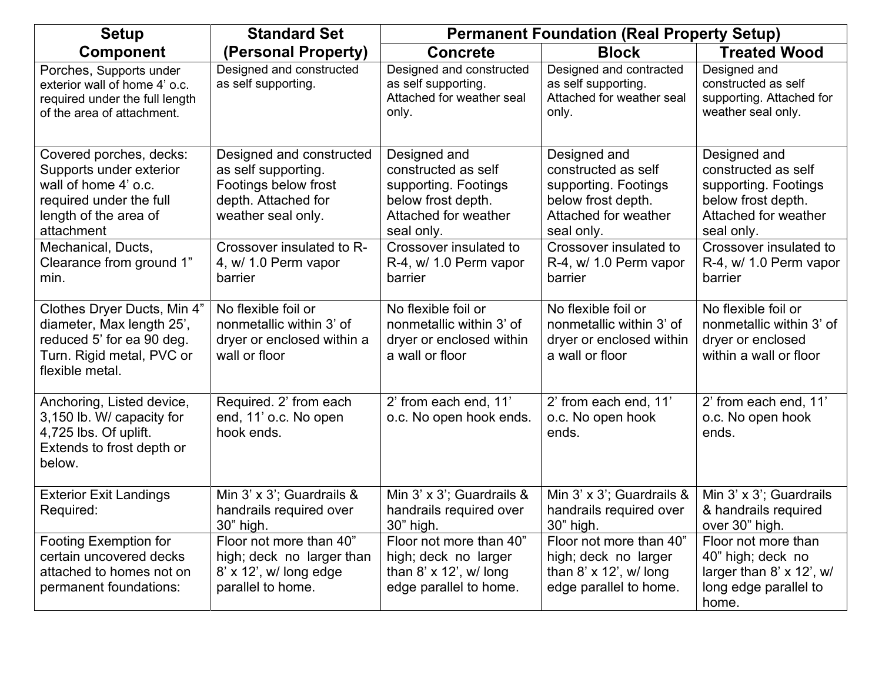| <b>Setup</b>                                                                                                                                 | <b>Standard Set</b>                                                                                                  | <b>Permanent Foundation (Real Property Setup)</b>                                                                       |                                                                                                                         |                                                                                                                         |  |
|----------------------------------------------------------------------------------------------------------------------------------------------|----------------------------------------------------------------------------------------------------------------------|-------------------------------------------------------------------------------------------------------------------------|-------------------------------------------------------------------------------------------------------------------------|-------------------------------------------------------------------------------------------------------------------------|--|
| <b>Component</b>                                                                                                                             | (Personal Property)                                                                                                  | <b>Concrete</b>                                                                                                         | <b>Block</b>                                                                                                            | <b>Treated Wood</b>                                                                                                     |  |
| Porches, Supports under<br>exterior wall of home 4' o.c.<br>required under the full length<br>of the area of attachment.                     | Designed and constructed<br>as self supporting.                                                                      | Designed and constructed<br>as self supporting.<br>Attached for weather seal<br>only.                                   | Designed and contracted<br>as self supporting.<br>Attached for weather seal<br>only.                                    | Designed and<br>constructed as self<br>supporting. Attached for<br>weather seal only.                                   |  |
| Covered porches, decks:<br>Supports under exterior<br>wall of home 4' o.c.<br>required under the full<br>length of the area of<br>attachment | Designed and constructed<br>as self supporting.<br>Footings below frost<br>depth. Attached for<br>weather seal only. | Designed and<br>constructed as self<br>supporting. Footings<br>below frost depth.<br>Attached for weather<br>seal only. | Designed and<br>constructed as self<br>supporting. Footings<br>below frost depth.<br>Attached for weather<br>seal only. | Designed and<br>constructed as self<br>supporting. Footings<br>below frost depth.<br>Attached for weather<br>seal only. |  |
| Mechanical, Ducts,<br>Clearance from ground 1"<br>min.                                                                                       | Crossover insulated to R-<br>4, w/ 1.0 Perm vapor<br>barrier                                                         | Crossover insulated to<br>R-4, w/ 1.0 Perm vapor<br>barrier                                                             | Crossover insulated to<br>R-4, w/ 1.0 Perm vapor<br>barrier                                                             | Crossover insulated to<br>R-4, w/ 1.0 Perm vapor<br>barrier                                                             |  |
| Clothes Dryer Ducts, Min 4"<br>diameter, Max length 25',<br>reduced 5' for ea 90 deg.<br>Turn. Rigid metal, PVC or<br>flexible metal.        | No flexible foil or<br>nonmetallic within 3' of<br>dryer or enclosed within a<br>wall or floor                       | No flexible foil or<br>nonmetallic within 3' of<br>dryer or enclosed within<br>a wall or floor                          | No flexible foil or<br>nonmetallic within 3' of<br>dryer or enclosed within<br>a wall or floor                          | No flexible foil or<br>nonmetallic within 3' of<br>dryer or enclosed<br>within a wall or floor                          |  |
| Anchoring, Listed device,<br>3,150 lb. W/ capacity for<br>4,725 lbs. Of uplift.<br>Extends to frost depth or<br>below.                       | Required. 2' from each<br>end, 11' o.c. No open<br>hook ends.                                                        | 2' from each end, 11'<br>o.c. No open hook ends.                                                                        | 2' from each end, 11'<br>o.c. No open hook<br>ends.                                                                     | 2' from each end, 11'<br>o.c. No open hook<br>ends.                                                                     |  |
| <b>Exterior Exit Landings</b><br>Required:                                                                                                   | Min 3' x 3'; Guardrails &<br>handrails required over<br>30" high.                                                    | Min 3' x 3'; Guardrails &<br>handrails required over<br>30" high.                                                       | Min 3' x 3'; Guardrails &<br>handrails required over<br>30" high.                                                       | Min 3' x 3'; Guardrails<br>& handrails required<br>over 30" high.                                                       |  |
| Footing Exemption for<br>certain uncovered decks<br>attached to homes not on<br>permanent foundations:                                       | Floor not more than 40"<br>high; deck no larger than<br>$8'$ x 12', w/ long edge<br>parallel to home.                | Floor not more than 40"<br>high; deck no larger<br>than $8' \times 12'$ , w/ long<br>edge parallel to home.             | Floor not more than 40"<br>high; deck no larger<br>than $8' \times 12'$ , w/ long<br>edge parallel to home.             | Floor not more than<br>40" high; deck no<br>larger than 8' x 12', w/<br>long edge parallel to<br>home.                  |  |